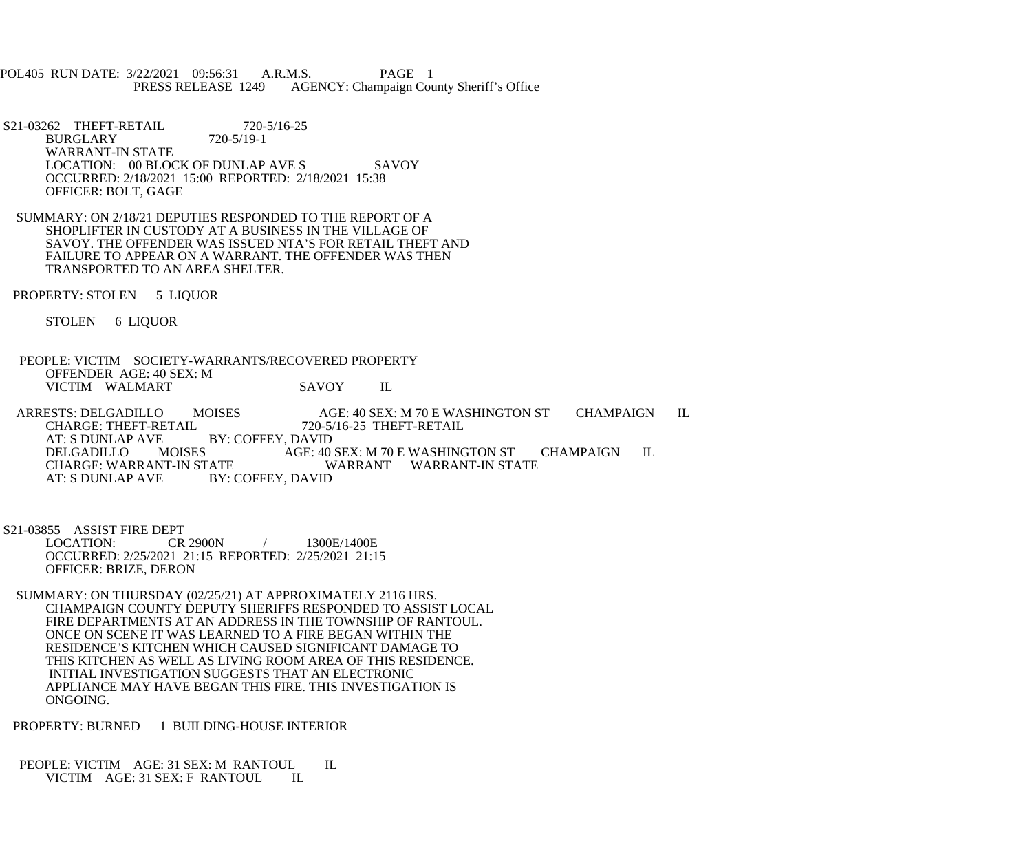POL405 RUN DATE: 3/22/2021 09:56:31 A.R.M.S. PAGE 1<br>PRESS RELEASE 1249 AGENCY: Champaign Cou AGENCY: Champaign County Sheriff's Office

S21-03262 THEFT-RETAIL 720-5/16-25<br>BURGLARY 720-5/19-1 **BURGLARY**  WARRANT-IN STATE LOCATION: 00 BLOCK OF DUNLAP AVE S SAVOY OCCURRED: 2/18/2021 15:00 REPORTED: 2/18/2021 15:38 OFFICER: BOLT, GAGE

 SUMMARY: ON 2/18/21 DEPUTIES RESPONDED TO THE REPORT OF A SHOPLIFTER IN CUSTODY AT A BUSINESS IN THE VILLAGE OF SAVOY. THE OFFENDER WAS ISSUED NTA'S FOR RETAIL THEFT AND FAILURE TO APPEAR ON A WARRANT. THE OFFENDER WAS THEN TRANSPORTED TO AN AREA SHELTER.

PROPERTY: STOLEN 5 LIQUOR

STOLEN 6 LIQUOR

 PEOPLE: VICTIM SOCIETY-WARRANTS/RECOVERED PROPERTY OFFENDER AGE: 40 SEX: M VICTIM WALMART SAVOY IL

ARRESTS: DELGADILLO MOISES AGE: 40 SEX: M 70 E WASHINGTON ST CHAMPAIGN IL<br>CHARGE: THEFT-RETAIL 720-5/16-25 THEFT-RETAIL CHARGE: THEFT-RETAIL 720-5/16-25 THEFT-RETAIL AT: S DUNLAP AVE BY: COFFEY, DAVID<br>DELGADILLO MOISES AGE: 40 DELGADILLO MOISES AGE: 40 SEX: M 70 E WASHINGTON ST CHAMPAIGN IL CHARGE: WARRANT-IN STATE CHARGE: WARRANT-IN STATE WARRANT WARRANT-IN STATE<br>AT: S DUNLAP AVE BY: COFFEY, DAVID BY: COFFEY, DAVID

S21-03855 ASSIST FIRE DEPT<br>LOCATION: CR 2900N / 1300E/1400E OCCURRED: 2/25/2021 21:15 REPORTED: 2/25/2021 21:15 OFFICER: BRIZE, DERON

 SUMMARY: ON THURSDAY (02/25/21) AT APPROXIMATELY 2116 HRS. CHAMPAIGN COUNTY DEPUTY SHERIFFS RESPONDED TO ASSIST LOCAL FIRE DEPARTMENTS AT AN ADDRESS IN THE TOWNSHIP OF RANTOUL. ONCE ON SCENE IT WAS LEARNED TO A FIRE BEGAN WITHIN THE RESIDENCE'S KITCHEN WHICH CAUSED SIGNIFICANT DAMAGE TO THIS KITCHEN AS WELL AS LIVING ROOM AREA OF THIS RESIDENCE. INITIAL INVESTIGATION SUGGESTS THAT AN ELECTRONIC APPLIANCE MAY HAVE BEGAN THIS FIRE. THIS INVESTIGATION IS ONGOING.

PROPERTY: BURNED 1 BUILDING-HOUSE INTERIOR

PEOPLE: VICTIM AGE: 31 SEX: M RANTOUL IL VICTIM AGE: 31 SEX: F RANTOUL IL